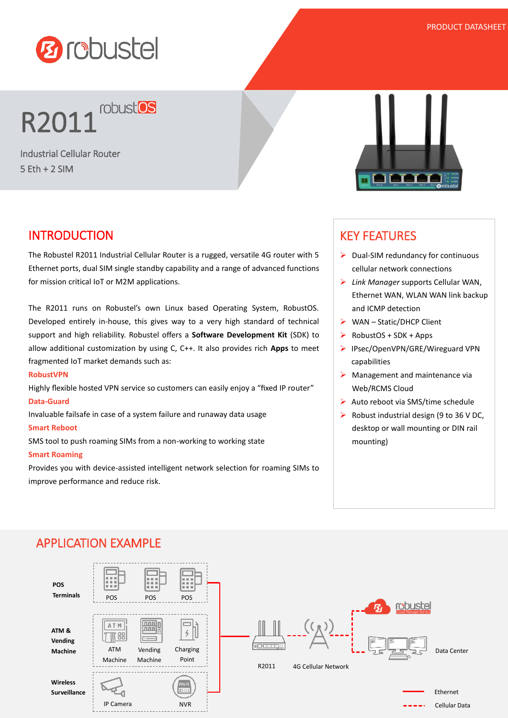

# **R2011** robust os

Industrial Cellular Router 5 Eth + 2 SIM

## INTRODUCTION

The Robustel R2011 Industrial Cellular Router is a rugged, versatile 4G router with 5 Ethernet ports, dual SIM single standby capability and a range of advanced functions for mission critical IoT or M2M applications.

The R2011 runs on Robustel's own Linux based Operating System, RobustOS. Developed entirely in-house, this gives way to a very high standard of technical support and high reliability. Robustel offers a **Software Development Kit** (SDK) to allow additional customization by using C, C++. It also provides rich **Apps** to meet fragmented IoT market demands such as:

#### **RobustVPN**

Highly flexible hosted VPN service so customers can easily enjoy a "fixed IP router" **Data-Guard**

Invaluable failsafe in case of a system failure and runaway data usage

#### **Smart Reboot**

SMS tool to push roaming SIMs from a non-working to working state

#### **Smart Roaming**

Provides you with device-assisted intelligent network selection for roaming SIMs to improve performance and reduce risk.



### KEY FEATURES

- $\triangleright$  Dual-SIM redundancy for continuous cellular network connections
- *Link Manager* supports Cellular WAN, Ethernet WAN, WLAN WAN link backup and ICMP detection
- $\triangleright$  WAN Static/DHCP Client
- $\triangleright$  RobustOS + SDK + Apps
- ▶ IPsec/OpenVPN/GRE/Wireguard VPN capabilities
- $\triangleright$  Management and maintenance via Web/RCMS Cloud
- $\triangleright$  Auto reboot via SMS/time schedule
- $\triangleright$  Robust industrial design (9 to 36 V DC, desktop or wall mounting or DIN rail mounting)



## APPLICATION EXAMPLE